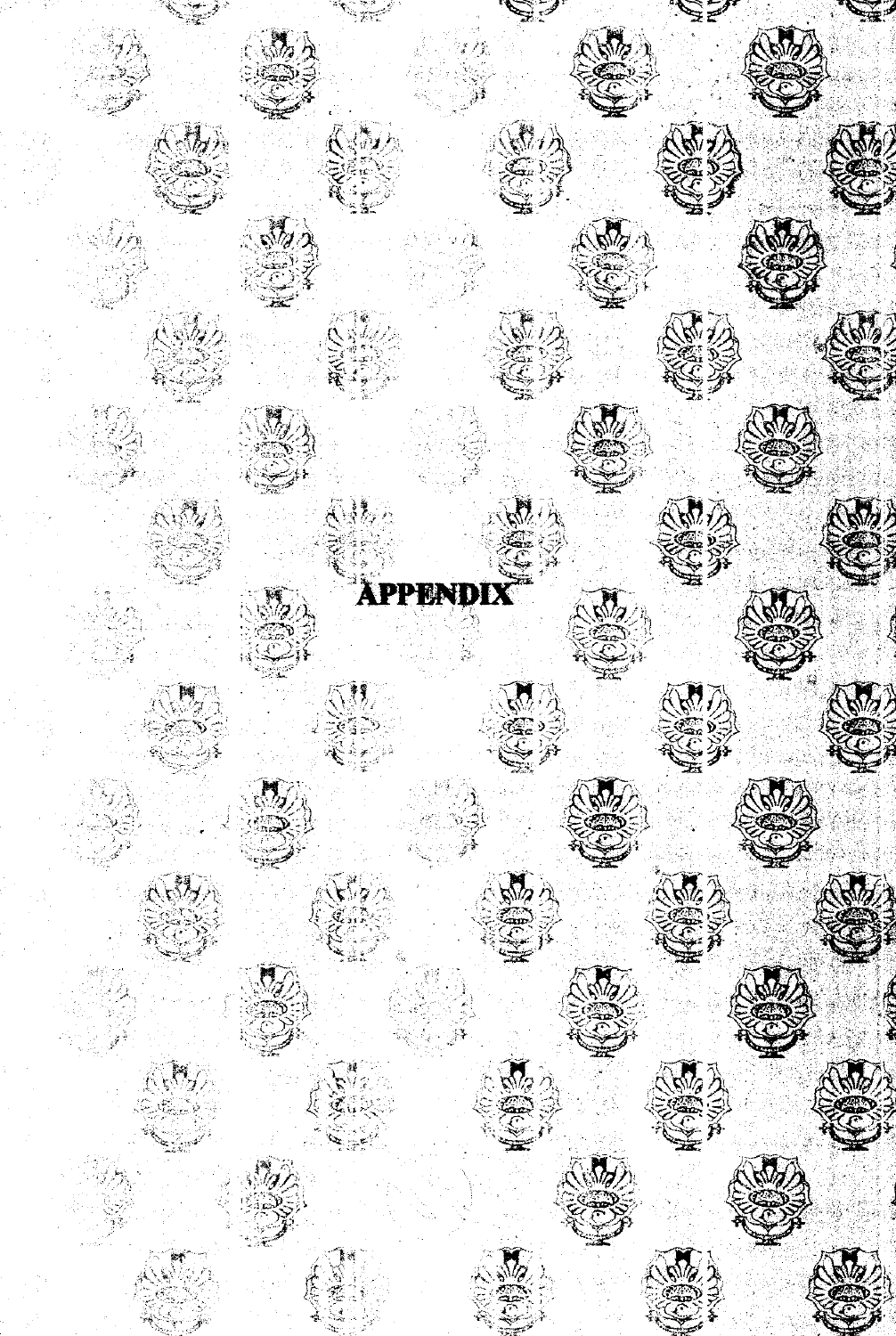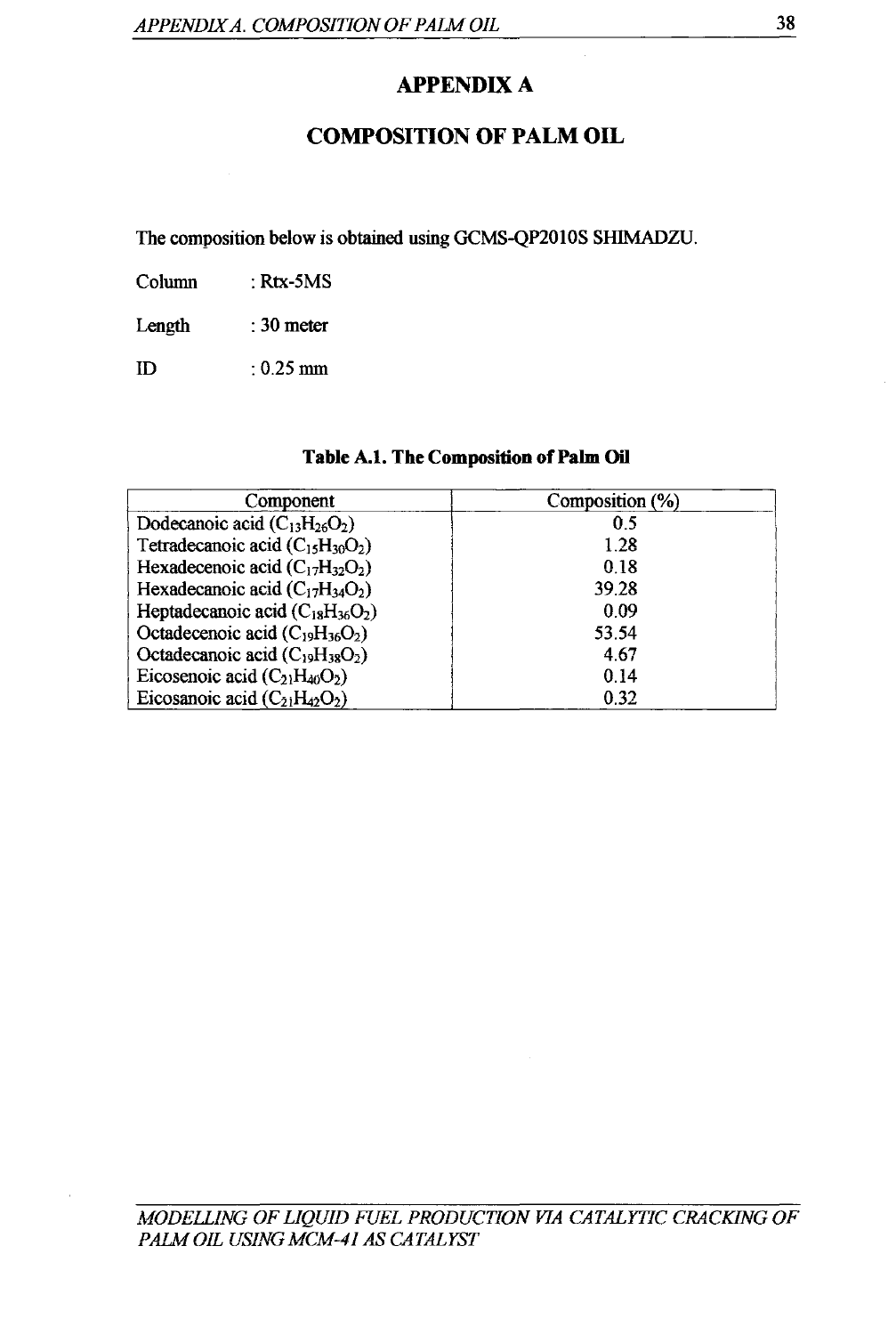# **APPENDIX A**

### **COMPOSITION OF PALM OIL**

The composition below is obtained using GCMS-QP2010S SHIMADZU.

Column : Rtx-SMS

Length : 30meter

ID : 0.25mm

| Table A.1. The Composition of Palm Oil |  |  |  |  |  |
|----------------------------------------|--|--|--|--|--|
|----------------------------------------|--|--|--|--|--|

| Component                              | Composition (%) |
|----------------------------------------|-----------------|
| Dodecanoic acid $(C_{13}H_{26}O_2)$    | 0.5             |
| Tetradecanoic acid $(C_{15}H_{30}O_2)$ | 1.28            |
| Hexadecenoic acid $(C_{17}H_{32}O_2)$  | 0.18            |
| Hexadecanoic acid $(C_{17}H_{34}O_2)$  | 39.28           |
| Heptadecanoic acid $(C_{18}H_{36}O_2)$ | 0.09            |
| Octadecenoic acid $(C_{19}H_{36}O_2)$  | 53.54           |
| Octadecanoic acid $(C_{19}H_{38}O_2)$  | 4.67            |
| Eicosenoic acid $(C_{21}H_{40}O_2)$    | 0.14            |
| Eicosanoic acid $(C_{21}H_{42}O_2)$    | 0.32            |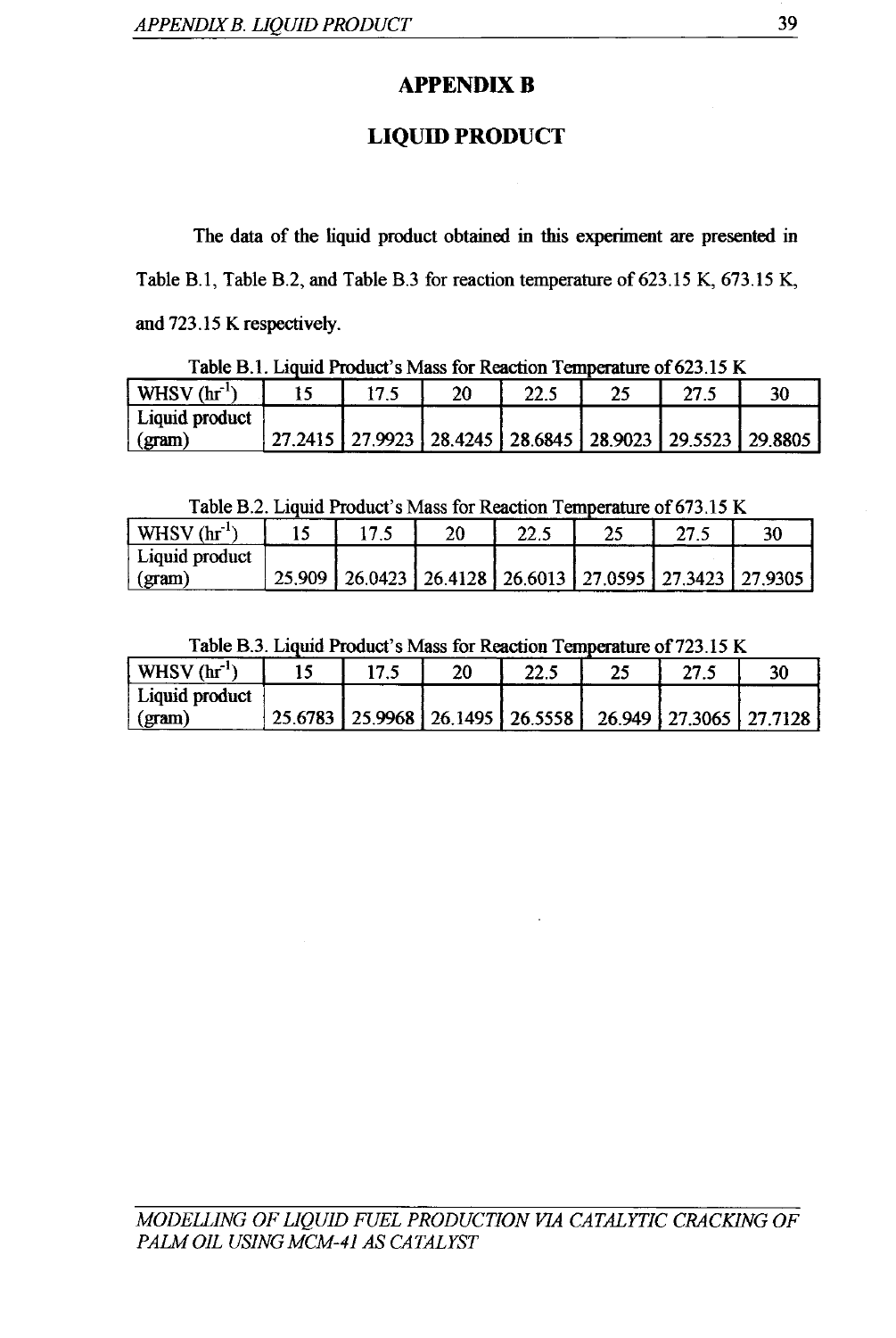# **APPENDIX B**

# **LIQUID PRODUCT**

The data of the liquid product obtained in this experiment are presented in Table B.1, Table B.2, and Table B.3 for reaction temperature of 623.15 K, 673.15 K, and 723.15 K respectively.

| Tuble D.T. Diguiu I foguel d'Inigo foi fragench Temperature of 029.19 fr |  |                 |    |                                                                     |    |      |    |  |  |  |
|--------------------------------------------------------------------------|--|-----------------|----|---------------------------------------------------------------------|----|------|----|--|--|--|
| $WHSV$ (hr <sup>-1</sup> )                                               |  | 17 <sup>5</sup> | 20 | 22.5                                                                | 25 | 27.5 | 30 |  |  |  |
| Liquid product                                                           |  |                 |    |                                                                     |    |      |    |  |  |  |
| $\gamma$ (gram)                                                          |  |                 |    | 27.2415   27.9923   28.4245   28.6845   28.9023   29.5523   29.8805 |    |      |    |  |  |  |

Table B.1. Liquid Product's Mass for Reaction Temperature of 623.15 K

Table B.2. Liquid Product's Mass for Reaction Temperature of 673.15 K

| $\vert$ WHSV (hr <sup>-1</sup> ) |  | 20 | 22.5                                                               | 27.5 | 30 |
|----------------------------------|--|----|--------------------------------------------------------------------|------|----|
| Liquid product                   |  |    |                                                                    |      |    |
| (gram)                           |  |    | 25.909   26.0423   26.4128   26.6013   27.0595   27.3423   27.9305 |      |    |

Table B.3. Liquid Product's Mass for Reaction Temperature of 723.15 K

| $\vert$ WHSV (hr <sup>18</sup> | 17.5 | 20 | 22.5                                                               | 27.5 |  |
|--------------------------------|------|----|--------------------------------------------------------------------|------|--|
| Liquid product                 |      |    |                                                                    |      |  |
| $\vert$ (gram)                 |      |    | 25.6783   25.9968   26.1495   26.5558   26.949   27.3065   27.7128 |      |  |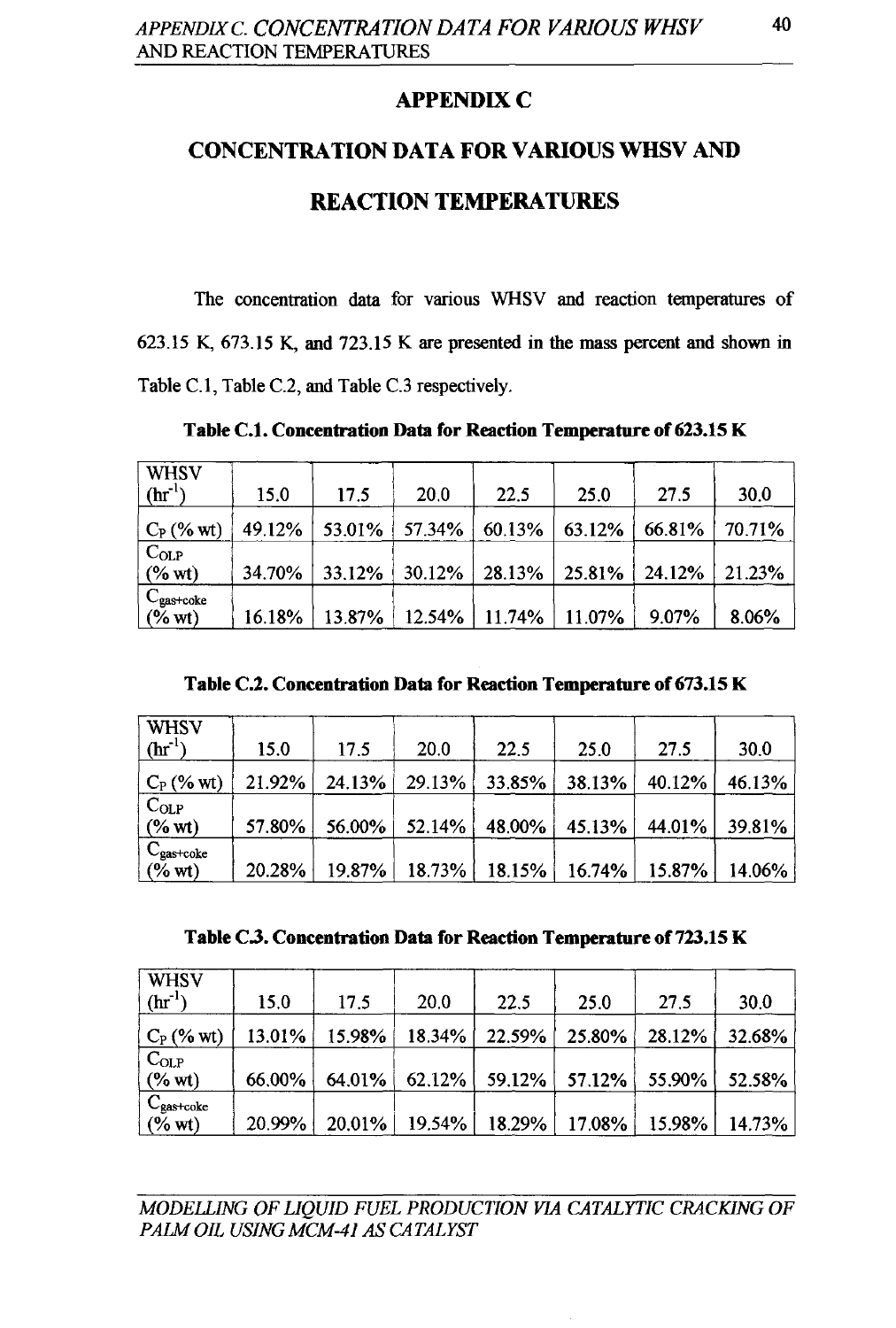#### **APPENDIX C**

# **CONCENTRATION DATA FOR VARIOUS WHSV AND REACTION TEMPERATURES**

The concentration data for various WHSV and reaction temperatures of 623.15 K, 673.15 K, and 723.15 K are presented in the mass percent and shown in Table C.l, Table C.2, and Table C.3 respectively.

**Table** C.l. **Concentration Data for Reaction Temperature of 623.15 K** 

| <b>WHSV</b><br>$(hr^{-1})$         | 15.0   | 17.5      | 20.0   | 22.5               | 25.0   | 27.5   | 30.0   |
|------------------------------------|--------|-----------|--------|--------------------|--------|--------|--------|
| $C_P$ (% wt)                       | 49.12% | $53.01\%$ | 57.34% | 60.13%             | 63.12% | 66.81% | 70.71% |
| $C_{OLP}$<br>$(\%$ wt)             | 34.70% | 33.12%    | 30.12% | $28.13\%$          | 25.81% | 24.12% | 21.23% |
| $C_{\text{gas+code}}$<br>$(\%$ wt) | 16.18% | 13.87%    |        | $12.54\%$   11.74% | 11.07% | 9.07%  | 8.06%  |

**Table** C.l. **Concentration Data for Reaction Temperature of673.15 K** 

| <b>WHSV</b><br>$(hr^{-1})$                | 15.0      | 17.5   | 20.0      | 22.5      | 25.0                        | 27.5   | 30.0   |
|-------------------------------------------|-----------|--------|-----------|-----------|-----------------------------|--------|--------|
| $\mathrm{C_{P}}$ (% wt)                   | $21.92\%$ | 24.13% | 29.13%    | 33.85%    | 38.13%                      | 40.12% | 46.13% |
| $C_{OLP}$<br>$(\%$ wt)                    | 57.80%    | 56.00% | $52.14\%$ | $48.00\%$ | $45.13\%$                   | 44.01% | 39.81% |
| $C_{\text{gas}+\text{coke}}$<br>$(\%$ wt) | $20.28\%$ | 19.87% | $18.73\%$ |           | $18.15\%$   16.74%   15.87% |        | 14.06% |

Table C.3. Concentration Data for Reaction Temperature of 723.15 K

| <b>WHSV</b>             |           |        |           |           |                  |        |        |
|-------------------------|-----------|--------|-----------|-----------|------------------|--------|--------|
| $(hr^{-1})$             | 15.0      | 17.5   | 20.0      | 22.5      | 25.0             | 27.5   | 30.0   |
| $C_P$ (% wt)            | $13.01\%$ | 15.98% | $18.34\%$ | $22.59\%$ | $25.80\%$        | 28.12% | 32.68% |
| $C_{OLP}$               |           |        |           |           |                  |        |        |
| $(% \mathbf{w})$ (% wt) | 66,00%    | 64.01% | $62.12\%$ |           | $59.12\%$ 57.12% | 55.90% | 52.58% |
| $C_{\text{gas+code}}$   |           |        |           |           |                  |        |        |
| $(\%$ wt)               | 20.99%    | 20.01% | $19.54\%$ | $18.29\%$ | $17.08\%$        | 15.98% | 14.73% |

MODELLING OF LIQUID FUEL PRODUCTION VIA CATALYTIC CRACKING OF *PAlM OIL USING MCM-41 AS CATALYST*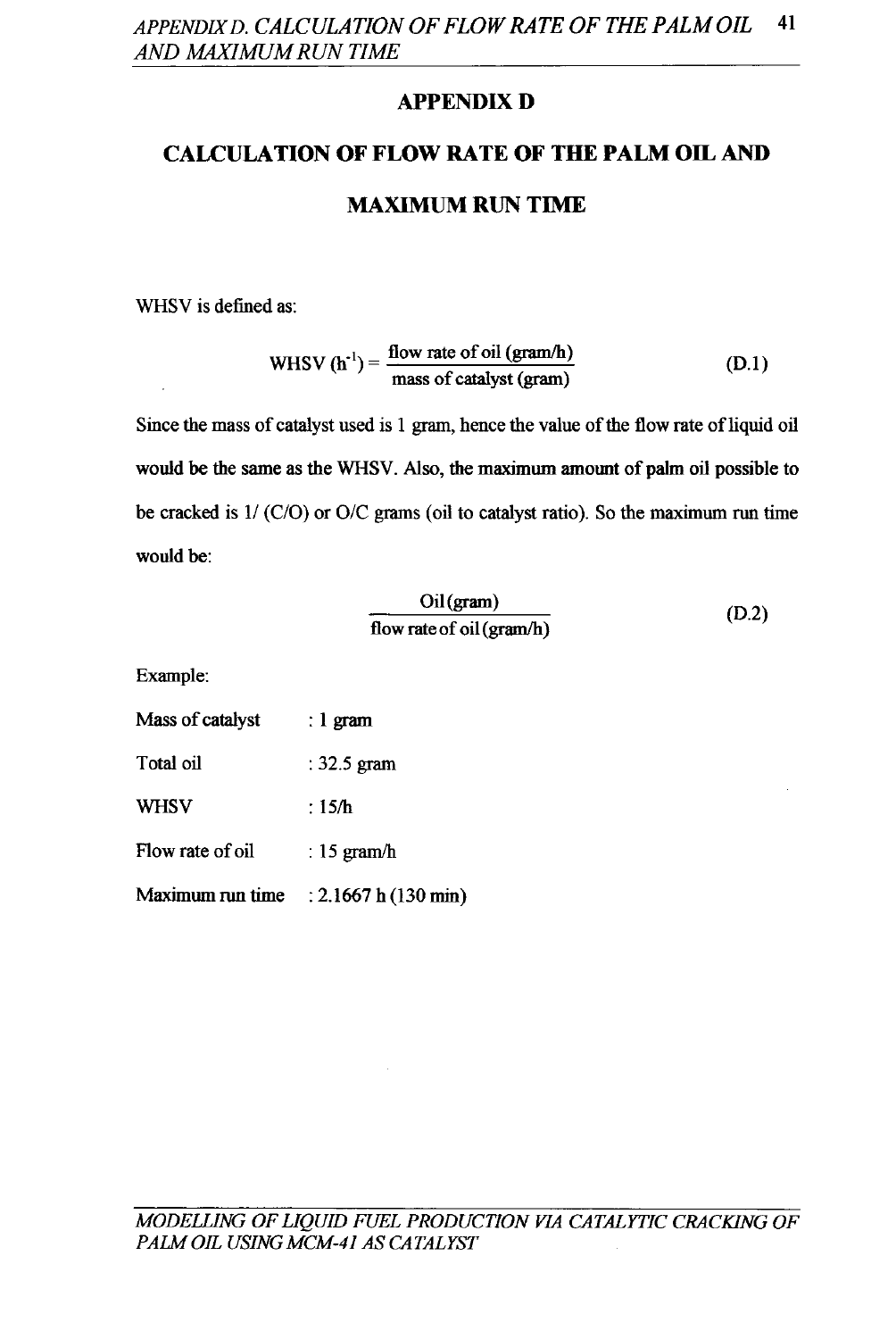## **APPENDIX D**

# **CALCULATION OF FLOW RATE OF THE PALM OIL AND**

## **MAXIMUM RUN TIME**

WHSV is defined as:

WHSV 
$$
(h^{-1}) = \frac{\text{flow rate of oil (gram/h)}}{\text{mass of catalyst (gram)}}
$$
 (D.1)

Since the mass of catalyst used is 1 gram, hence the value of the flow rate of liquid oil would be the same as the WHSV. Also, the maximum amount of palm oil possible to be cracked is  $1/(C/O)$  or  $O/C$  grams (oil to catalyst ratio). So the maximum run time would be:

$$
\frac{\text{Oil (gram)}}{\text{flow rate of oil (gram/h)}}
$$
 (D.2)

Example:

| Mass of catalyst | : 1 gram              |
|------------------|-----------------------|
| Total oil        | $: 32.5$ gram         |
| <b>WHSV</b>      | : $15/h$              |
| Flow rate of oil | : $15 \text{ gram/h}$ |
| Maximum run time | : 2.1667 h(130 min)   |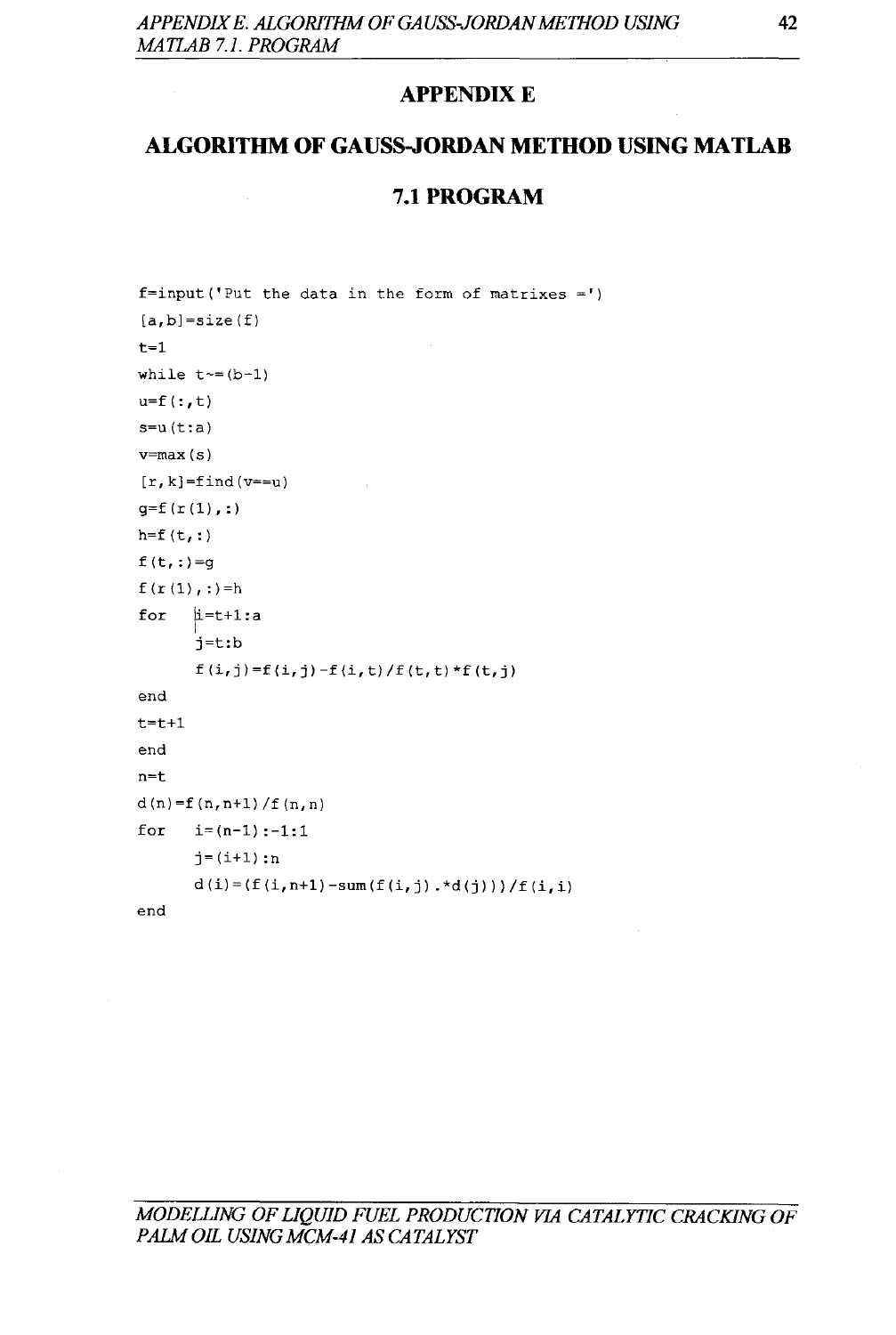#### **APPENDIX E**

#### **ALGORITHM OF GAUSS-JORDAN MEmOD USING MATLAB**

#### **7.1PROGRAM**

```
f=input('Put the data in the form of matrices =')[a,b]=size(f)t=1while t \sim = (b-1)u=f (:, t)
s=u(t:a)v=max(s)[r, k]=find(v==u)
g=f(r(1),:)h = f(t, :)f(t,:)=g
f(r(1),:)=h
for |i=t+1:aend 
t=t+1end 
n=t 
      j=t:b 
      f(i,j)=f(i,j)-f(i,t)/f(t,t)*f(t,j)
d(n)=f(n,n+1)/f(n,n)for i=(n-1) : -1:1j = (i+1) : nd(i) = (f(i, n+1) - sum(f(i, j) . *d(j))) / f(i, i)end
```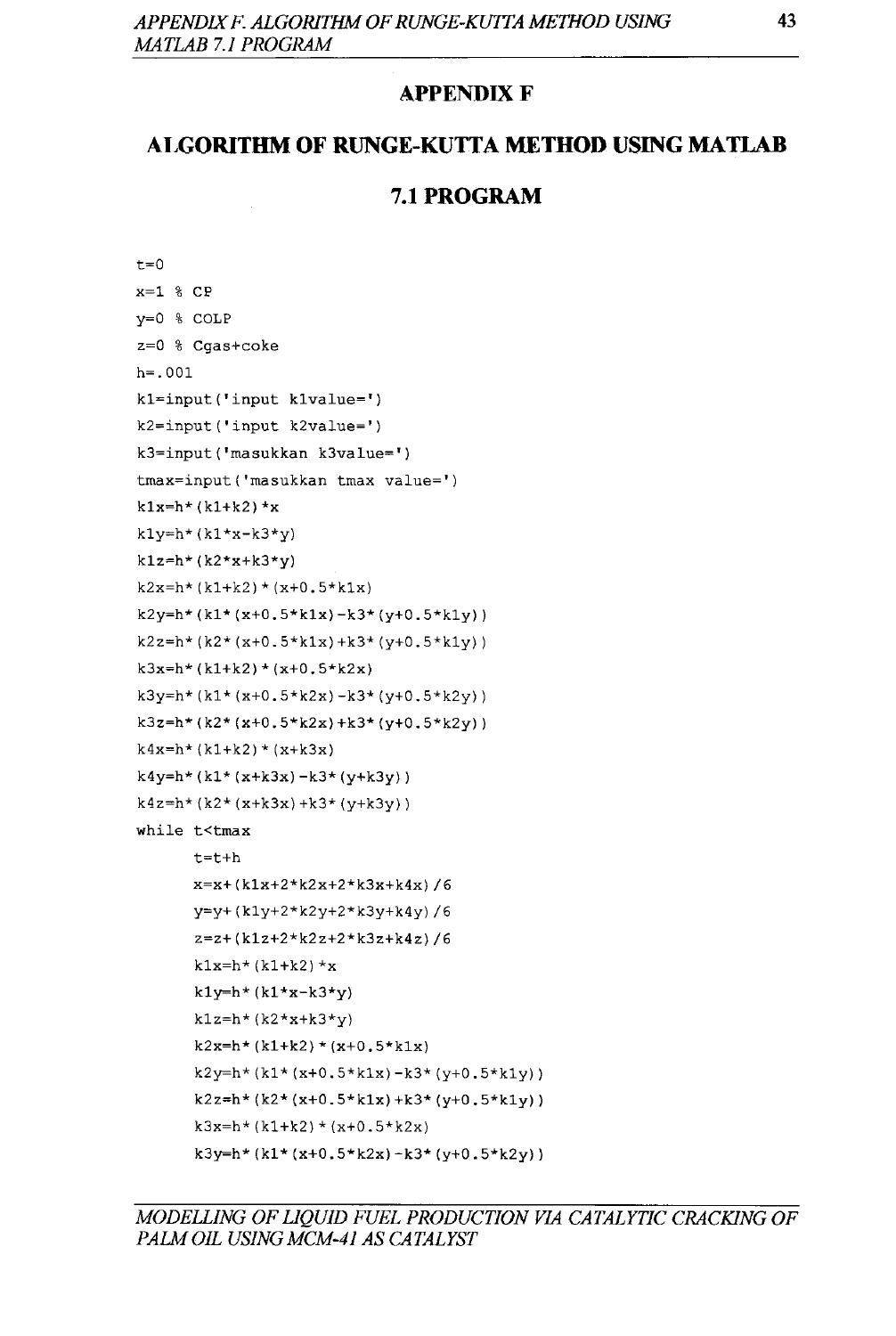#### **APPENDIX F**

#### **AI,GORITHM OF RUNGE-KUTTA MEmOD USING MATLAB**

#### **7.1PROGRAM**

```
t=0x=1 % CPy=O % COLP 
z=O % Cgas+coke 
h=.OOl 
kl=input('input klvalue=') 
k2=input('input k2value=') 
k3=input('masukkan k3value=') 
tmax=input('masukkan tmax value=') 
k1x=h*(k1+k2)*xkly=h*(k1*x-k3*y)k1z=h*(k2*x+k3*y)k2x=h*(k1+k2)*(x+0.5*k1x)k2y=h*(k1*(x+0.5*k1x)-k3*(y+0.5*k1y))k2z=h*(k2*(x+0.5*k1x)+k3*(y+0.5*k1y))k3x=h*(k1+k2)*(x+0.5*k2x)k3y=h*(k1*(x+0.5*k2x)-k3*(y+0.5*k2y))k3z=h*(k2*(x+0.5*k2x)+k3*(y+0.5*k2y))k4x=h*(k1+k2)*(x+k3x)k4y=h*(k1*(x+k3x)-k3*(y+k3y))k4z=h*(k2*(x+k3x)+k3*(y+k3y))while t<tmax
      t=t+h 
      x=x+(klx+2*k2x+2*k3x+k4x)/6 
      y=y+(kly+2*k2y+2*k3y+k4y)/6 
      z=z+(klz+2*k2z+2*k3z+k4z)/6 
      k1x=h*(k1+k2)*xk1y=h*(k1*x-k3*y)k1z=h*(k2*x+k3*y)k2x=h*(k1+k2)*(x+0.5*k1x)k2y=h*(k1*(x+0.5*k1x)-k3*(y+0.5*k1y))k2z=h*(k2*(x+0.5*k1x)+k3*(y+0.5*k1y))k3x=h*(k1+k2)*(x+0.5*k2x)k3y=h*(k1*(x+0.5*k2x)-k3*(y+0.5*k2y))
```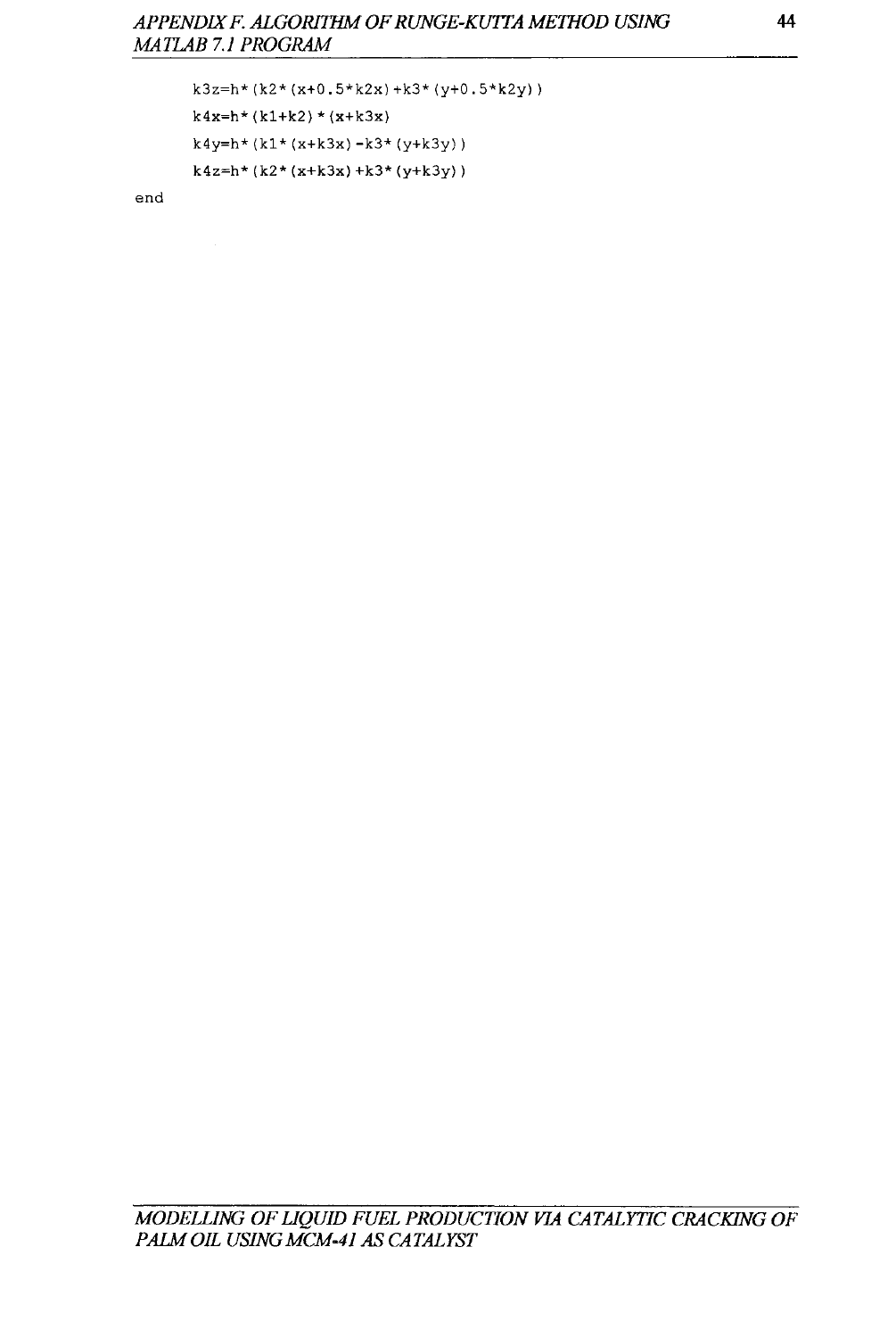```
k3z=h*(k2*(x+0.5*k2x)+k3*(y+0.5*k2y))
k4x=h*(k1+k2)*(x+k3x)k4y=h*(k1*(x+k3x)-k3*(y+k3y))
k4z=h*(k2*(x+k3x)+k3*(y+k3y))
```
end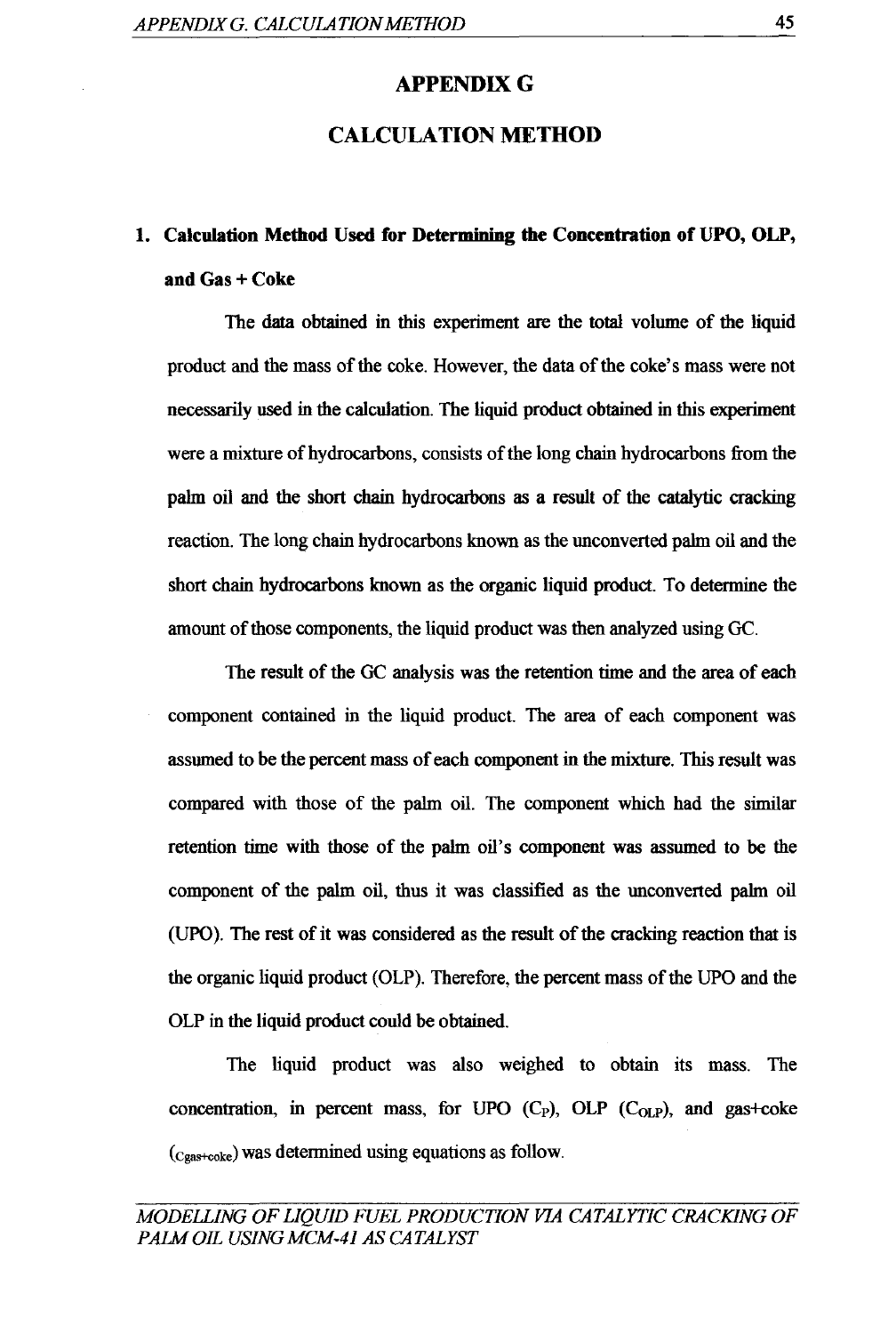#### **APPENDIXG**

#### **CALCULATION METHOD**

# **l. Calculation Method Used for Determining the Concentration of UPO, OLP, and** Gas + Coke

The data obtained in this experiment are the total volume of the liquid product and the mass of the coke. However, the data of the coke's mass were not necessarily used in the calculation. The liquid product obtained in this experiment were a mixture of hydrocarbons, consists of the long chain hydrocarbons from the palm oil and the short chain hydrocarbons as a result of the catalytic cracking reaction. The long chain hydrocarbons known as the unconverted palm oil and the short chain hydrocarbons known as the organic liquid product. To determine the amount of those components, the liquid product was then analyzed using GC.

The result of the GC analysis was the retention time and the area of each component contained in the liquid product. The area of each component was assumed to be the percent mass of each component in the mixture. This result was compared with those of the palm oil. The component which had the similar retention time with those of the palm oil's component was assumed to be the component of the palm oil, thus it was classified as the unconverted palm oil (UPO). The rest of it was considered as the result of the cracking reaction that is the organic liquid product (OLP). Therefore, the percent mass of the UPO and the OLP in the liquid product could be obtained.

The liquid product was also weighed to obtain its mass. The concentration, in percent mass, for UPO  $(C_P)$ , OLP  $(C_{OLP})$ , and gas+coke (cgas+ooke) was determined using equations as follow.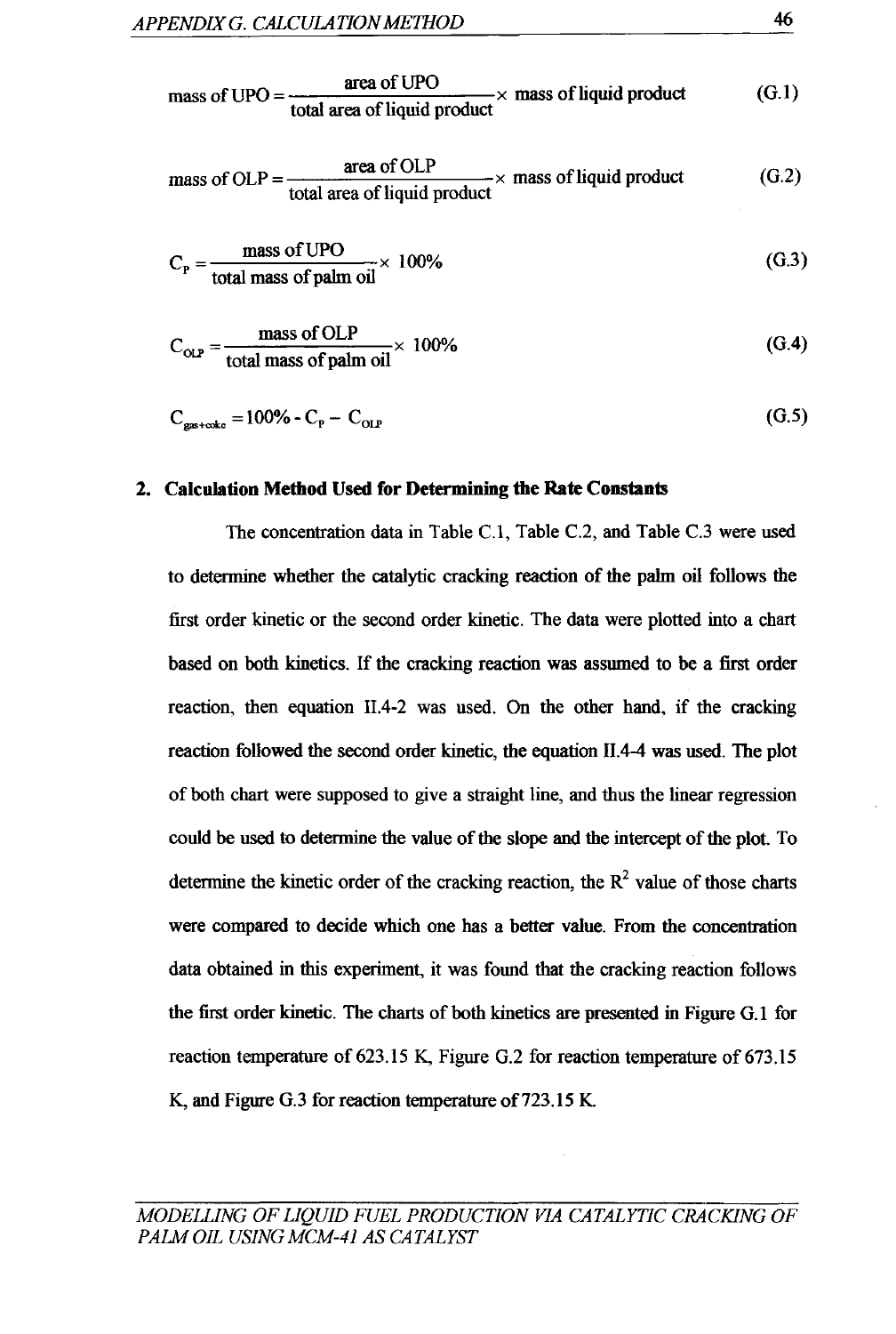mass of UPO = 
$$
\frac{\text{area of UPO}}{\text{total area of liquid product}}
$$
 × mass of liquid product (G.1)

mass of OLP = 
$$
\frac{\text{area of OLP}}{\text{total area of liquid product}} \times \text{mass of liquid product}
$$
 (G.2)

$$
C_p = \frac{\text{mass of UPO}}{\text{total mass of palm oil}} \times 100\%
$$
 (G.3)

$$
C_{\text{OLP}} = \frac{\text{mass of OLP}}{\text{total mass of palm oil}} \times 100\%
$$
 (G.4)

$$
C_{\text{gas} + \text{ode}} = 100\% - C_{\text{p}} - C_{\text{OLP}} \tag{G.5}
$$

#### 2. Calculation Method Used for Determining the Rate Constants

The concentration data in Table C.l, Table C.2, and Table C.3 were used to determine whether the catalytic cracking reaction of the palm oil follows the first order kinetic or the second order kinetic. The data were plotted into a chart based on both kinetics. If the cracking reaction was assumed to be a first order reaction, then equation II.4-2 was used. On the other hand, if the cracking reaction followed the second order kinetic, the equation 11.4-4 was used. The plot of both chart were supposed to give a straight line, and thus the linear regression could be used to determine the value of the slope and the intercept of the plot. To determine the kinetic order of the cracking reaction, the  $R<sup>2</sup>$  value of those charts were compared to decide which one has a better value. From the concentration data obtained in this experiment, it was found that the cracking reaction follows the first order kinetic. The charts of both kinetics are presented in Figure G.1 for reaction temperature of 623.15 K, Figure G.2 for reaction temperature of 673.15 K, and Figure G.3 for reaction temperature of 723.15 K.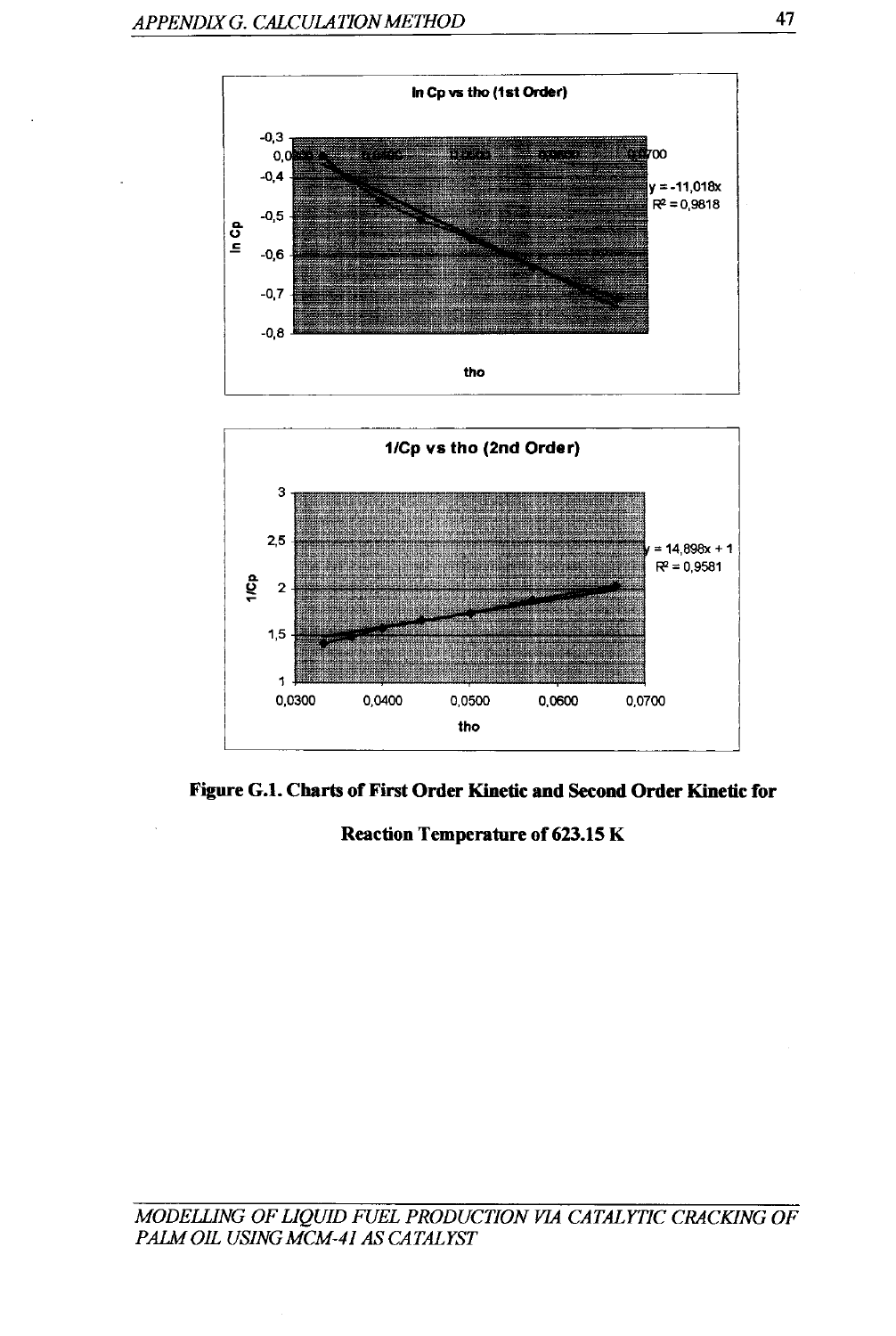

Figure G.l. Charts of First Order Kinetic and Second Order Kinetic for

Reaction Temperature of 623.15 K

*MODElLING OF LIQUID FUEL PRODUCTION VIA CATALYTIC CRACKING OF PAlM OIL USING MCM-41 AS CATALYST*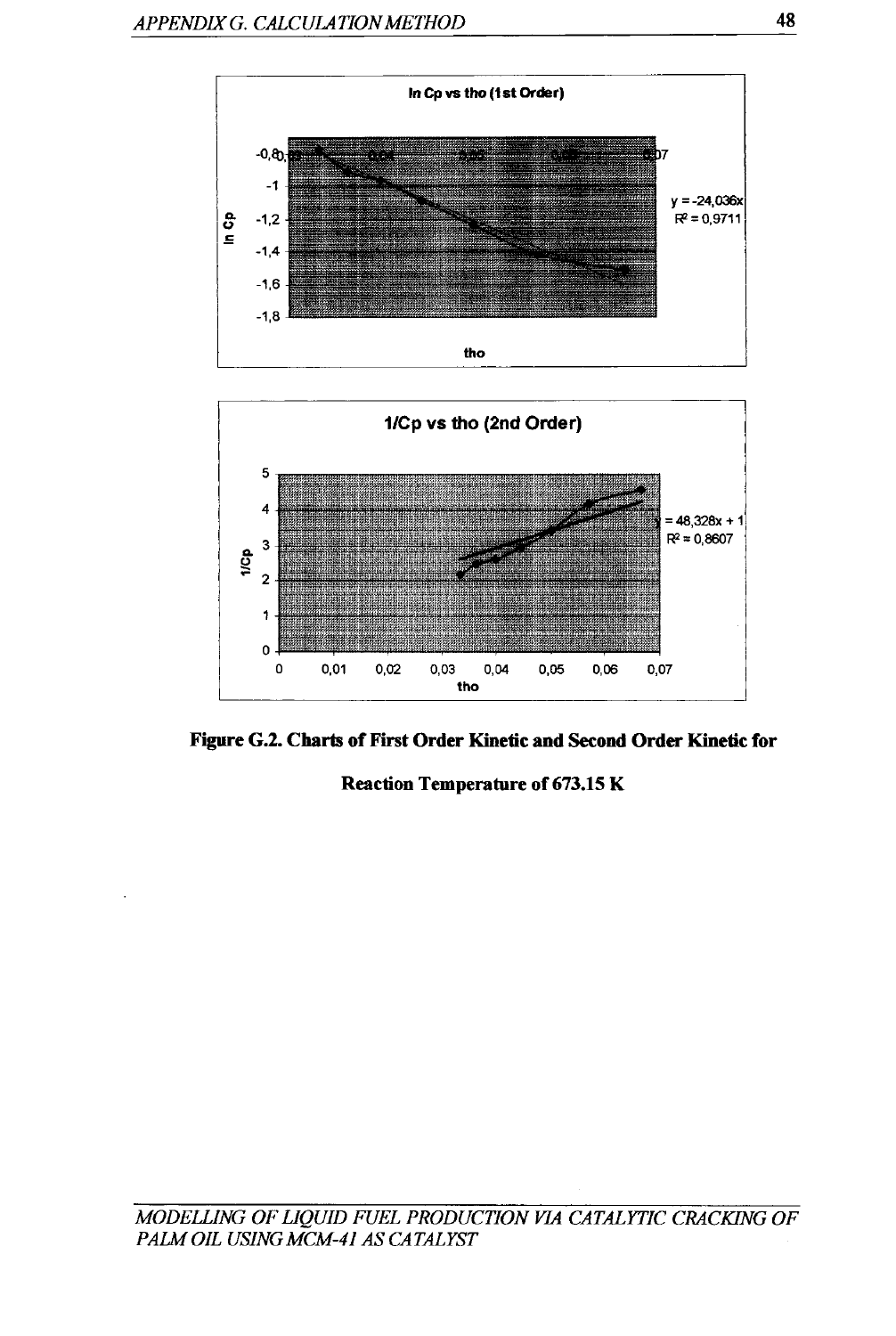



Figure G.2. Charts of First Order Kinetic and Second Order Kinetic for

Reaction Temperature of 673.15 K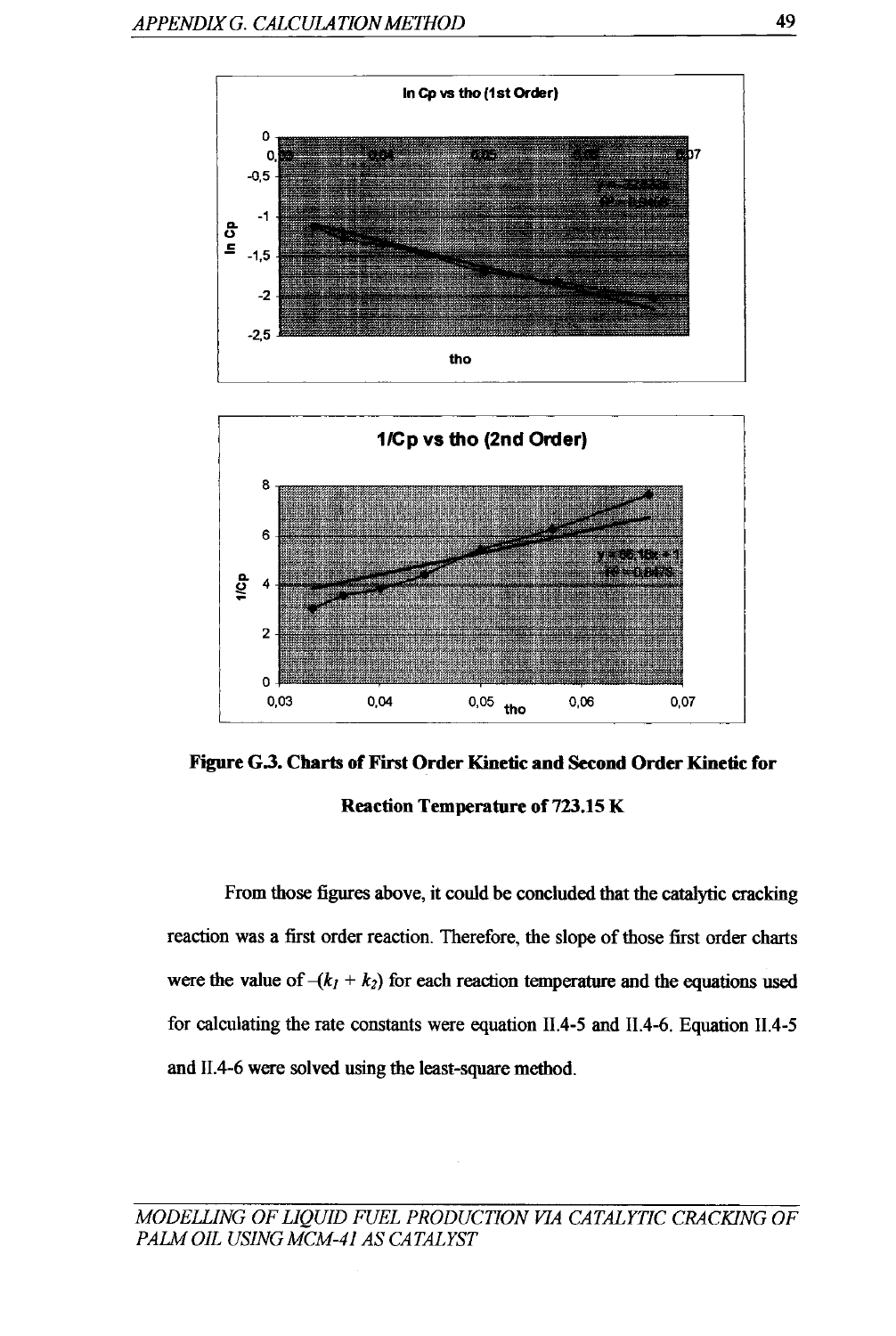



Figure G.J. Charts of First Order Kinetic and Second Order Kinetic for Reaction Temperature of 723.15 K

From those figures above, it could be concluded that the catalytic cracking reaction was a first order reaction. Therefore, the slope of those first order charts were the value of  $-(k_1 + k_2)$  for each reaction temperature and the equations used for calculating the rate constants were equation II.4-5 and II.4-6. Equation II.4-5 and II.4-6 were solved using the least-square method.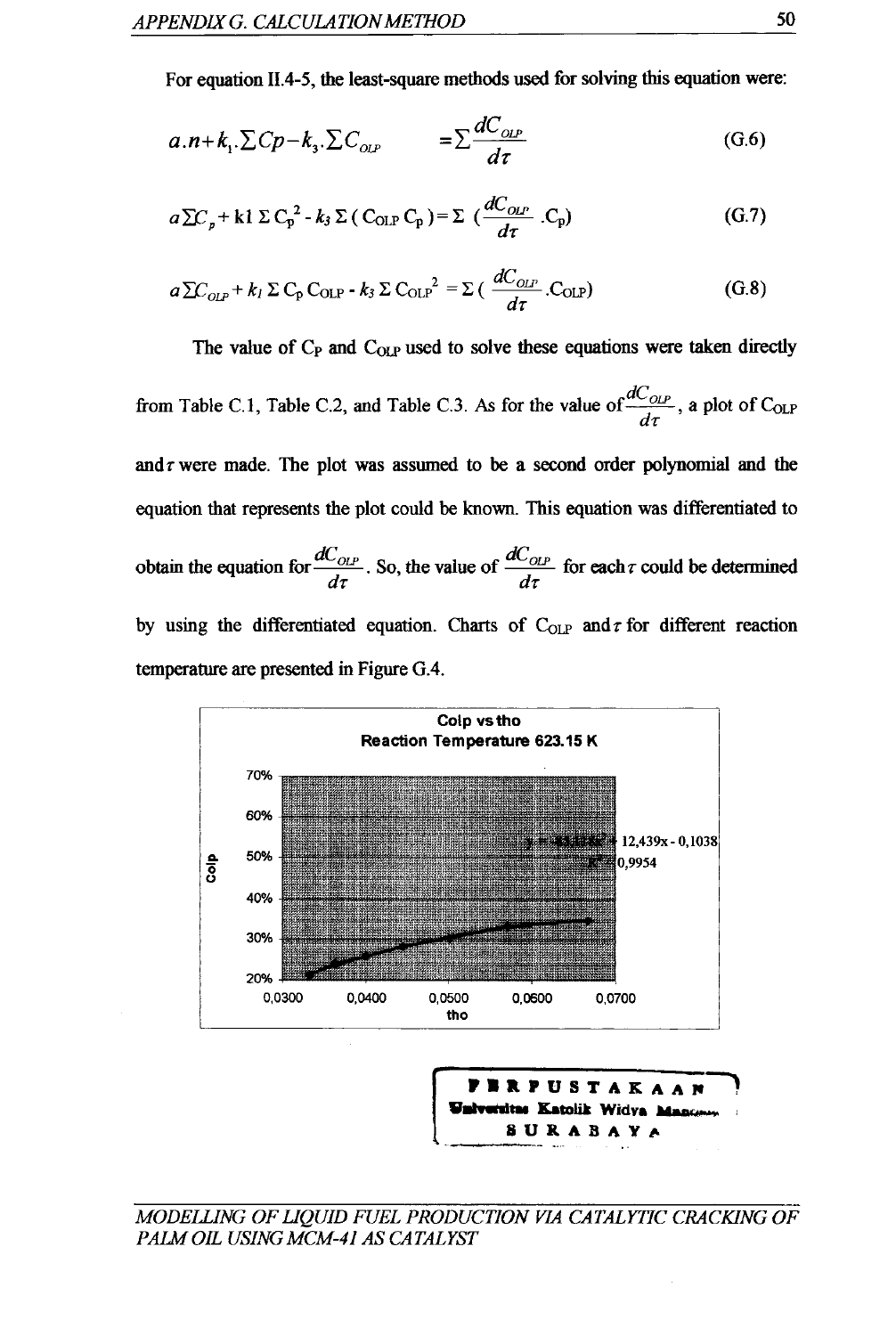For equation 11.4-5, the least-square methods used for solving this equation were:

$$
a.n+k_1 \cdot \sum Cp-k_3 \cdot \sum C_{_{OLP}} = \sum \frac{dC_{_{OLP}}}{d\tau}
$$
 (G.6)

$$
a \Sigma C_p + k1 \Sigma C_p^2 - k_3 \Sigma (C_{\text{OLP}} C_p) = \Sigma (\frac{dC_{\text{OLP}}}{d\tau} C_p)
$$
 (G.7)

$$
a \sum C_{OLP} + k_l \sum C_p C_{OLP} - k_3 \sum C_{OLP}^2 = \sum \left( \frac{dC_{OLP}}{d\tau} \cdot C_{OLP} \right)
$$
 (G.8)

The value of  $C_P$  and  $C_{OLP}$  used to solve these equations were taken directly

from Table C.1, Table C.2, and Table C.3. As for the value of  $\frac{dC_{OLP}}{d}$ , a plot of C<sub>OLP</sub> *dr*  and  $\tau$  were made. The plot was assumed to be a second order polynomial and the equation that represents the plot could be known. This equation was differentiated to obtain the equation for  $\frac{dC_{OLP}}{I}$ . So, the value of  $\frac{dC_{OLP}}{I}$  for each r could be determined  $d\tau$  . So, the value of  $d\tau$ by using the differentiated equation. Charts of  $C_{OLP}$  and  $\tau$  for different reaction temperature are presented in Figure G.4.





#### MODELLING OF LIQUID FUEL PRODUCTION VIA CATALYTIC CRACKING OF *PAlM OIL USING MCM-4I AS CATALYST*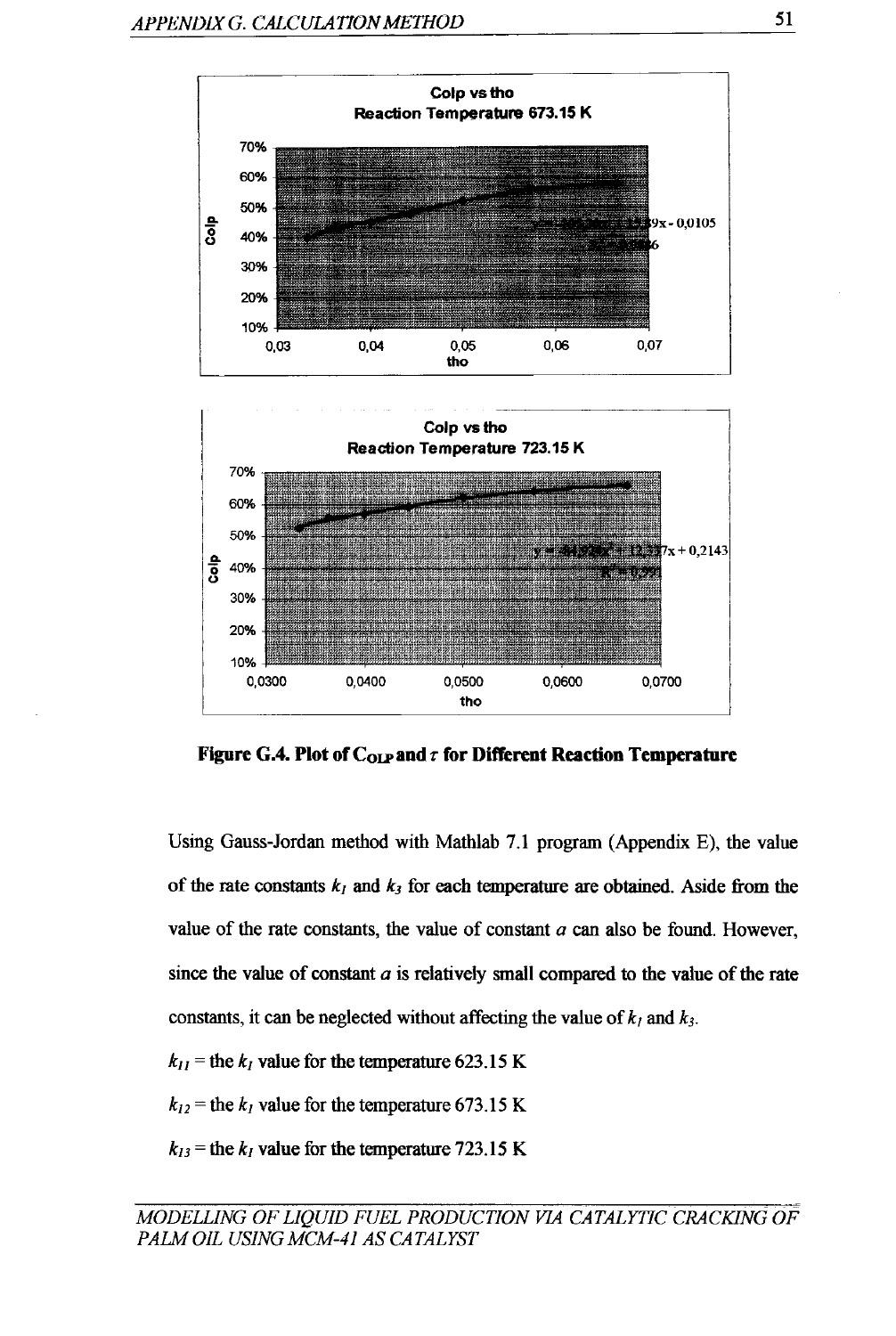

Figure G.4. Plot of  $C_{OLP}$  and  $\tau$  for Different Reaction Temperature

Using Gauss-Jordan method with Mathlab 7.1 program (Appendix E), the value of the rate constants  $k_1$  and  $k_3$  for each temperature are obtained. Aside from the value of the rate constants, the value of constant *a* can also be found. However, since the value of constant *a* is relatively small compared to the value of the rate constants, it can be neglected without affecting the value of  $k_1$  and  $k_3$ .

- $k_{II}$  = the  $k_I$  value for the temperature 623.15 K
- $k_{12}$  = the  $k_1$  value for the temperature 673.15 K
- $k_{13}$  = the  $k_{1}$  value for the temperature 723.15 K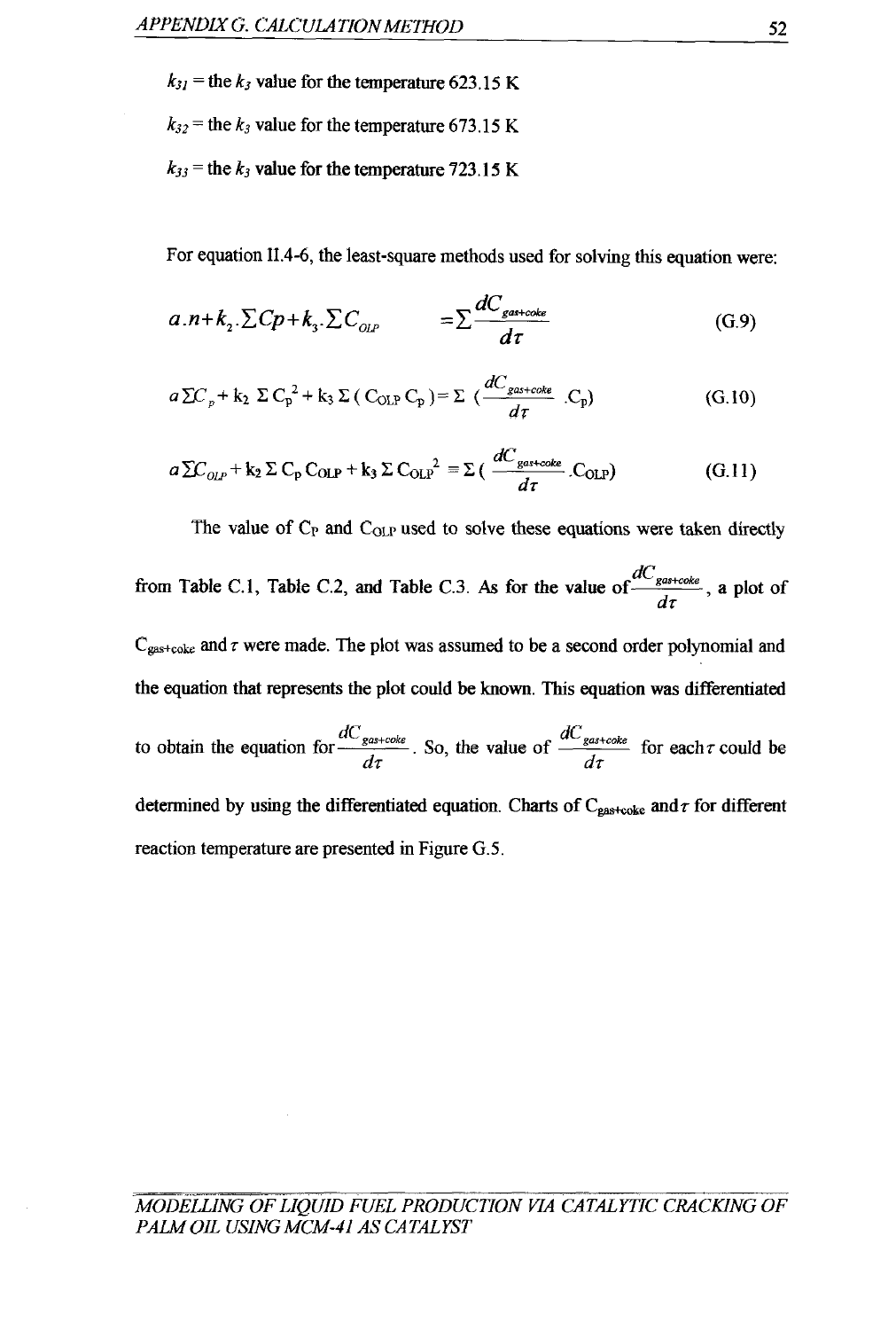$k_{31}$  = the  $k_3$  value for the temperature 623.15 K

 $k_{32}$  = the  $k_3$  value for the temperature 673.15 K

 $k_{33}$  = the  $k_3$  value for the temperature 723.15 K

For equation ll.4-6, the least-square methods used for solving this equation were:

$$
a.n+k_{2}.\Sigma Cp+k_{3}.\Sigma C_{_{OLP}} = \Sigma \frac{dC_{\text{gas+code}}}{d\tau}
$$
 (G.9)

$$
a \Sigma C_p + k_2 \Sigma C_p^2 + k_3 \Sigma (C_{OLP} C_p) = \Sigma \left(\frac{dC_{gas + coke}}{d\tau} C_p\right)
$$
 (G.10)

$$
a \sum C_{OLP} + k_2 \sum C_p C_{OLP} + k_3 \sum C_{OLP}^2 = \sum (\frac{dC_{\text{gas+code}}}{d\tau} C_{OLP})
$$
 (G.11)

The value of  $C_P$  and  $C_{OLP}$  used to solve these equations were taken directly from Table C.1, Table C.2, and Table C.3. As for the value of  $\frac{dC_{gastooke}}{1}$ , a plot of dr  $C_{gas+code}$  and  $\tau$  were made. The plot was assumed to be a second order polynomial and the equation that represents the plot could be known. This equation was differentiated to obtain the equation for  $\frac{dC_{gas+code}}{dC_{gas+code}}$ . So, the value of  $\frac{dC_{gas+code}}{dC_{gas+code}}$  for each  $\tau$  could be dr dr determined by using the differentiated equation. Charts of  $C_{\text{gas+code}}$  and  $\tau$  for different reaction temperature are presented in Figure G.5.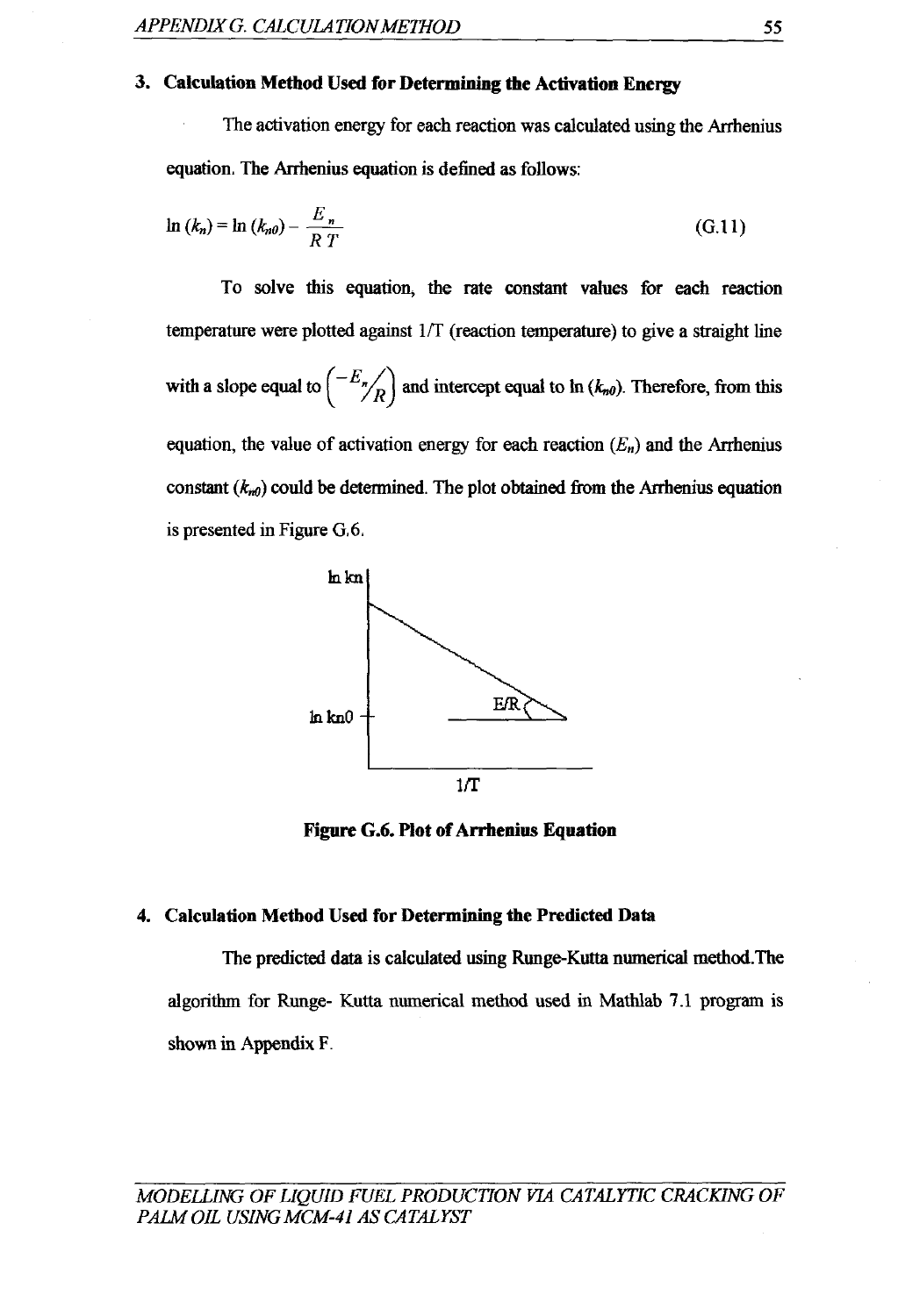#### **3. Calculation Method Used for Determining the Activation Energy**

The activation energy for each reaction was calculated using the Arrhenius equation. The Arrhenius equation is defined as follows:

$$
\ln (k_n) = \ln (k_{n0}) - \frac{E_n}{R T}
$$
 (G.11)

To solve this equation, the rate constant values for each reaction temperature were plotted against  $1/T$  (reaction temperature) to give a straight line with a slope equal to  $\left(\frac{-E_n}{R}\right)$  and intercept equal to ln  $(k_{n0})$ . Therefore, from this equation, the value of activation energy for each reaction  $(E_n)$  and the Arrhenius constant  $(k_{n0})$  could be determined. The plot obtained from the Arrhenius equation is presented in Figure G.6.



**Figure G.6. Plot of Arrhenius Equation** 

#### **4. Calculation Method** Used **for Determining the Predicted Data**

The predicted data is calculated using Runge-Kutta numerical method. The algorithm for Runge- Kutta numerical method used in Mathlab 7.1 program is shown in Appendix F.